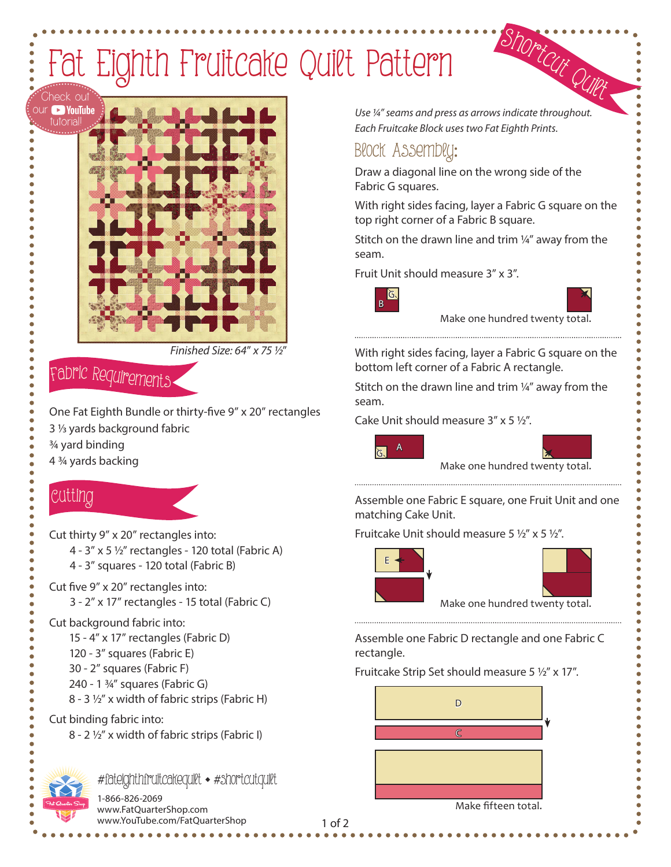# Fat Eighth Fruitcake Quilt Pattern



*Finished Size: 64*" *x 75 ½*"

## <sup>F</sup>abri<sup>c</sup> <sup>R</sup><sup>e</sup>quirement<sup>s</sup>

One Fat Eighth Bundle or thirty-five 9" x 20" rectangles 3 1/3 yards background fabric 3/4 yard binding

4 3/4 yards backing

## Cutti<sup>n</sup>g

Cut thirty 9" x 20" rectangles into:

- 4  $3''$  x 5  $\frac{1}{2}''$  rectangles 120 total (Fabric A)
- 4 3" squares 120 total (Fabric B)
- Cut five 9" x 20" rectangles into:
	- 3 2" x 17" rectangles 15 total (Fabric C)

#### Cut background fabric into:

- 15 4" x 17" rectangles (Fabric D)
- 120 3" squares (Fabric E)
- 30 2" squares (Fabric F)
- 240 1 3/4" squares (Fabric G)
- 8 3 ½" x width of fabric strips (Fabric H)

#### Cut binding fabric into:

8 - 2 ½" x width of fabric strips (Fabric I)



*#*fateighthfruitcakequilt ◆ *#*shortcutquilt

1-866-826-2069 www.FatQuarterShop.com www.YouTube.com/FatQuarterShop

<sup>S</sup>hortcu<sup>t</sup> <sup>Q</sup>uil<sup>t</sup> Use  $\frac{1}{4}$  seams and press as arrows indicate throughout. *Each Fruitcake Block uses two Fat Eighth Prints.*

## Block Assembly:

Draw a diagonal line on the wrong side of the Fabric G squares.

With right sides facing, layer a Fabric G square on the top right corner of a Fabric B square.

Stitch on the drawn line and trim  $\frac{1}{4}$ " away from the seam.

Fruit Unit should measure 3" x 3".



Make one hundred twenty total.

With right sides facing, layer a Fabric G square on the bottom left corner of a Fabric A rectangle.

Stitch on the drawn line and trim ¼" away from the seam.

Cake Unit should measure  $3'' \times 5 \frac{1}{2}$ .



Make one hundred twenty total. 

Assemble one Fabric E square, one Fruit Unit and one matching Cake Unit.

Fruitcake Unit should measure  $5\frac{1}{2}$ " x  $5\frac{1}{2}$ ".



Assemble one Fabric D rectangle and one Fabric C rectangle.

#### Fruitcake Strip Set should measure 5  $1/2$ " x 17".



Make fifteen total.

#### 1 of 2